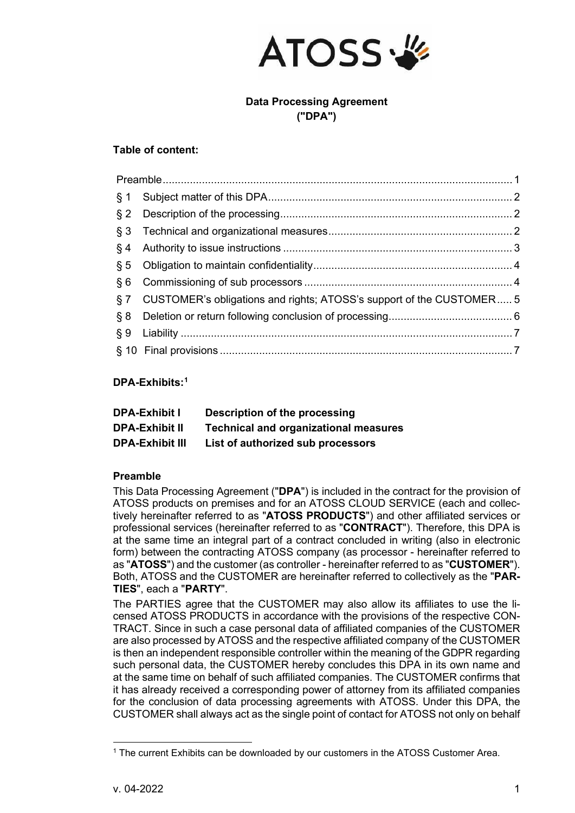

# **Data Processing Agreement ("DPA")**

### **Table of content:**

| § 7 CUSTOMER's obligations and rights; ATOSS's support of the CUSTOMER 5 |  |
|--------------------------------------------------------------------------|--|
|                                                                          |  |
|                                                                          |  |
|                                                                          |  |

# **DPA-Exhibits:[1](#page-0-1)**

| <b>DPA-Exhibit I</b>   | Description of the processing                |
|------------------------|----------------------------------------------|
| <b>DPA-Exhibit II</b>  | <b>Technical and organizational measures</b> |
| <b>DPA-Exhibit III</b> | List of authorized sub processors            |

# <span id="page-0-0"></span>**Preamble**

This Data Processing Agreement ("**DPA**") is included in the contract for the provision of ATOSS products on premises and for an ATOSS CLOUD SERVICE (each and collectively hereinafter referred to as "**ATOSS PRODUCTS**") and other affiliated services or professional services (hereinafter referred to as "**CONTRACT**"). Therefore, this DPA is at the same time an integral part of a contract concluded in writing (also in electronic form) between the contracting ATOSS company (as processor - hereinafter referred to as "**ATOSS**") and the customer (as controller - hereinafter referred to as "**CUSTOMER**"). Both, ATOSS and the CUSTOMER are hereinafter referred to collectively as the "**PAR-TIES**", each a "**PARTY**".

The PARTIES agree that the CUSTOMER may also allow its affiliates to use the licensed ATOSS PRODUCTS in accordance with the provisions of the respective CON-TRACT. Since in such a case personal data of affiliated companies of the CUSTOMER are also processed by ATOSS and the respective affiliated company of the CUSTOMER is then an independent responsible controller within the meaning of the GDPR regarding such personal data, the CUSTOMER hereby concludes this DPA in its own name and at the same time on behalf of such affiliated companies. The CUSTOMER confirms that it has already received a corresponding power of attorney from its affiliated companies for the conclusion of data processing agreements with ATOSS. Under this DPA, the CUSTOMER shall always act as the single point of contact for ATOSS not only on behalf

<span id="page-0-1"></span><sup>1</sup> The current Exhibits can be downloaded by our customers in the ATOSS Customer Area.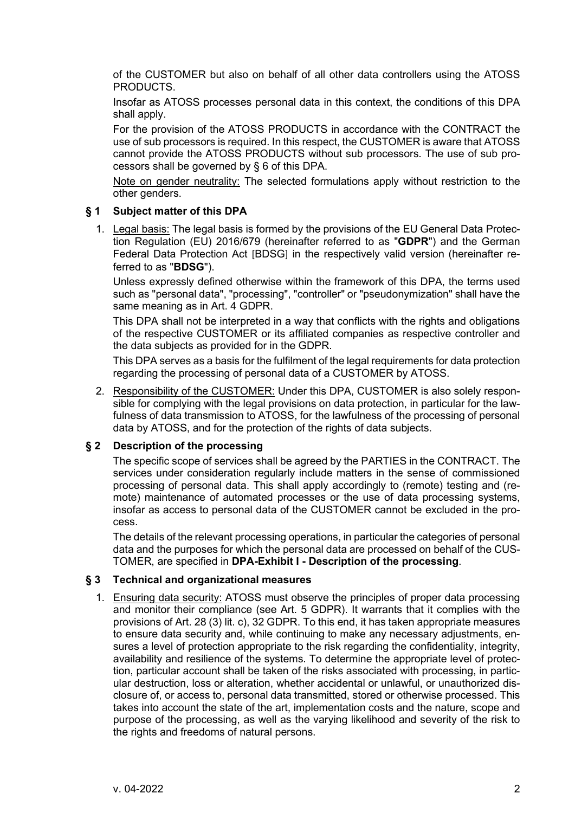of the CUSTOMER but also on behalf of all other data controllers using the ATOSS PRODUCTS.

Insofar as ATOSS processes personal data in this context, the conditions of this DPA shall apply.

For the provision of the ATOSS PRODUCTS in accordance with the CONTRACT the use of sub processors is required. In this respect, the CUSTOMER is aware that ATOSS cannot provide the ATOSS PRODUCTS without sub processors. The use of sub processors shall be governed by § 6 of this DPA.

Note on gender neutrality: The selected formulations apply without restriction to the other genders.

### <span id="page-1-0"></span>**§ 1 Subject matter of this DPA**

1. Legal basis: The legal basis is formed by the provisions of the EU General Data Protection Regulation (EU) 2016/679 (hereinafter referred to as "**GDPR**") and the German Federal Data Protection Act [BDSG] in the respectively valid version (hereinafter referred to as "**BDSG**").

Unless expressly defined otherwise within the framework of this DPA, the terms used such as "personal data", "processing", "controller" or "pseudonymization" shall have the same meaning as in Art. 4 GDPR.

This DPA shall not be interpreted in a way that conflicts with the rights and obligations of the respective CUSTOMER or its affiliated companies as respective controller and the data subjects as provided for in the GDPR.

This DPA serves as a basis for the fulfilment of the legal requirements for data protection regarding the processing of personal data of a CUSTOMER by ATOSS.

2. Responsibility of the CUSTOMER: Under this DPA, CUSTOMER is also solely responsible for complying with the legal provisions on data protection, in particular for the lawfulness of data transmission to ATOSS, for the lawfulness of the processing of personal data by ATOSS, and for the protection of the rights of data subjects.

# <span id="page-1-1"></span>**§ 2 Description of the processing**

The specific scope of services shall be agreed by the PARTIES in the CONTRACT. The services under consideration regularly include matters in the sense of commissioned processing of personal data. This shall apply accordingly to (remote) testing and (remote) maintenance of automated processes or the use of data processing systems, insofar as access to personal data of the CUSTOMER cannot be excluded in the process.

The details of the relevant processing operations, in particular the categories of personal data and the purposes for which the personal data are processed on behalf of the CUS-TOMER, are specified in **DPA-Exhibit I - Description of the processing**.

#### <span id="page-1-2"></span>**§ 3 Technical and organizational measures**

1. Ensuring data security: ATOSS must observe the principles of proper data processing and monitor their compliance (see Art. 5 GDPR). It warrants that it complies with the provisions of Art. 28 (3) lit. c), 32 GDPR. To this end, it has taken appropriate measures to ensure data security and, while continuing to make any necessary adjustments, ensures a level of protection appropriate to the risk regarding the confidentiality, integrity, availability and resilience of the systems. To determine the appropriate level of protection, particular account shall be taken of the risks associated with processing, in particular destruction, loss or alteration, whether accidental or unlawful, or unauthorized disclosure of, or access to, personal data transmitted, stored or otherwise processed. This takes into account the state of the art, implementation costs and the nature, scope and purpose of the processing, as well as the varying likelihood and severity of the risk to the rights and freedoms of natural persons.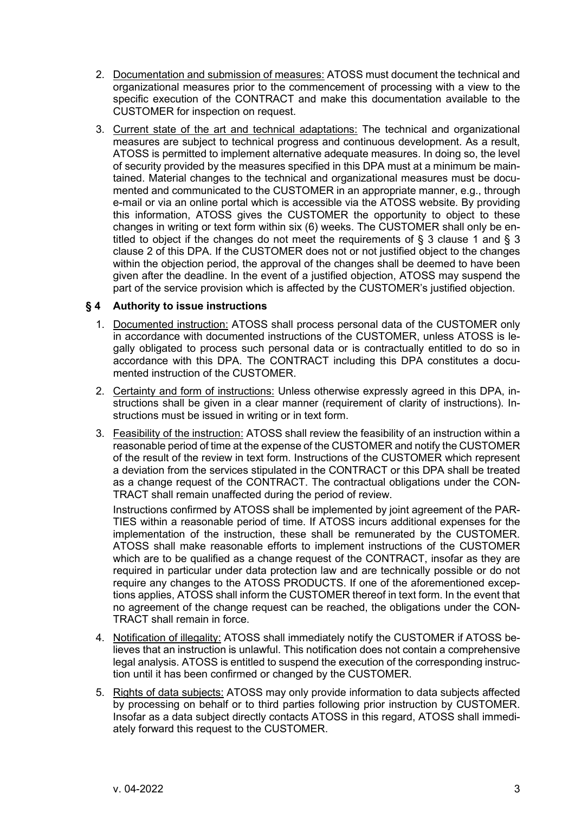- 2. Documentation and submission of measures: ATOSS must document the technical and organizational measures prior to the commencement of processing with a view to the specific execution of the CONTRACT and make this documentation available to the CUSTOMER for inspection on request.
- 3. Current state of the art and technical adaptations: The technical and organizational measures are subject to technical progress and continuous development. As a result, ATOSS is permitted to implement alternative adequate measures. In doing so, the level of security provided by the measures specified in this DPA must at a minimum be maintained. Material changes to the technical and organizational measures must be documented and communicated to the CUSTOMER in an appropriate manner, e.g., through e-mail or via an online portal which is accessible via the ATOSS website. By providing this information, ATOSS gives the CUSTOMER the opportunity to object to these changes in writing or text form within six (6) weeks. The CUSTOMER shall only be entitled to object if the changes do not meet the requirements of § 3 clause 1 and § 3 clause 2 of this DPA. If the CUSTOMER does not or not justified object to the changes within the objection period, the approval of the changes shall be deemed to have been given after the deadline. In the event of a justified objection, ATOSS may suspend the part of the service provision which is affected by the CUSTOMER's justified objection.

### <span id="page-2-0"></span>**§ 4 Authority to issue instructions**

- 1. Documented instruction: ATOSS shall process personal data of the CUSTOMER only in accordance with documented instructions of the CUSTOMER, unless ATOSS is legally obligated to process such personal data or is contractually entitled to do so in accordance with this DPA. The CONTRACT including this DPA constitutes a documented instruction of the CUSTOMER.
- 2. Certainty and form of instructions: Unless otherwise expressly agreed in this DPA, instructions shall be given in a clear manner (requirement of clarity of instructions). Instructions must be issued in writing or in text form.
- 3. Feasibility of the instruction: ATOSS shall review the feasibility of an instruction within a reasonable period of time at the expense of the CUSTOMER and notify the CUSTOMER of the result of the review in text form. Instructions of the CUSTOMER which represent a deviation from the services stipulated in the CONTRACT or this DPA shall be treated as a change request of the CONTRACT. The contractual obligations under the CON-TRACT shall remain unaffected during the period of review.

Instructions confirmed by ATOSS shall be implemented by joint agreement of the PAR-TIES within a reasonable period of time. If ATOSS incurs additional expenses for the implementation of the instruction, these shall be remunerated by the CUSTOMER. ATOSS shall make reasonable efforts to implement instructions of the CUSTOMER which are to be qualified as a change request of the CONTRACT, insofar as they are required in particular under data protection law and are technically possible or do not require any changes to the ATOSS PRODUCTS. If one of the aforementioned exceptions applies, ATOSS shall inform the CUSTOMER thereof in text form. In the event that no agreement of the change request can be reached, the obligations under the CON-TRACT shall remain in force.

- 4. Notification of illegality: ATOSS shall immediately notify the CUSTOMER if ATOSS believes that an instruction is unlawful. This notification does not contain a comprehensive legal analysis. ATOSS is entitled to suspend the execution of the corresponding instruction until it has been confirmed or changed by the CUSTOMER.
- 5. Rights of data subjects: ATOSS may only provide information to data subjects affected by processing on behalf or to third parties following prior instruction by CUSTOMER. Insofar as a data subject directly contacts ATOSS in this regard, ATOSS shall immediately forward this request to the CUSTOMER.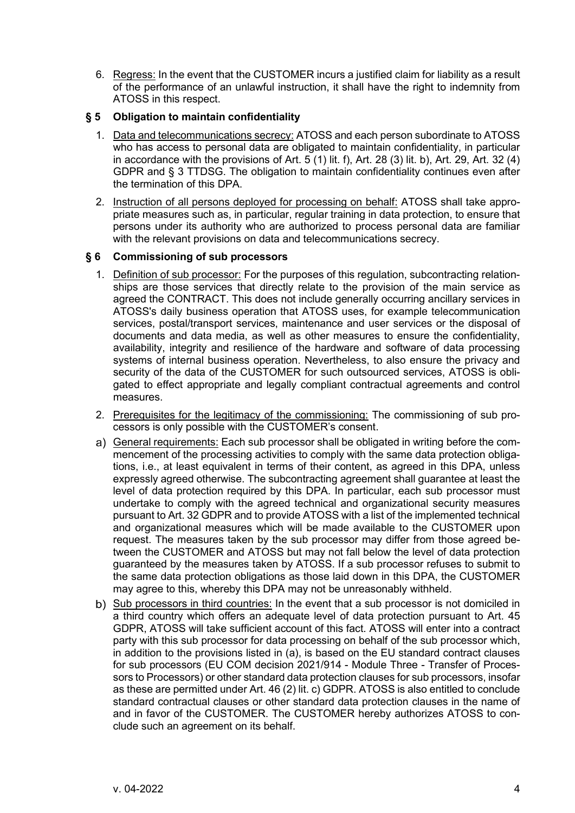6. Regress: In the event that the CUSTOMER incurs a justified claim for liability as a result of the performance of an unlawful instruction, it shall have the right to indemnity from ATOSS in this respect.

#### <span id="page-3-0"></span>**§ 5 Obligation to maintain confidentiality**

- 1. Data and telecommunications secrecy: ATOSS and each person subordinate to ATOSS who has access to personal data are obligated to maintain confidentiality, in particular in accordance with the provisions of Art.  $5(1)$  lit. f), Art. 28 $(3)$  lit. b), Art. 29, Art. 32 $(4)$ GDPR and § 3 TTDSG. The obligation to maintain confidentiality continues even after the termination of this DPA.
- 2. Instruction of all persons deployed for processing on behalf: ATOSS shall take appropriate measures such as, in particular, regular training in data protection, to ensure that persons under its authority who are authorized to process personal data are familiar with the relevant provisions on data and telecommunications secrecy.

### <span id="page-3-1"></span>**§ 6 Commissioning of sub processors**

- 1. Definition of sub processor: For the purposes of this regulation, subcontracting relationships are those services that directly relate to the provision of the main service as agreed the CONTRACT. This does not include generally occurring ancillary services in ATOSS's daily business operation that ATOSS uses, for example telecommunication services, postal/transport services, maintenance and user services or the disposal of documents and data media, as well as other measures to ensure the confidentiality, availability, integrity and resilience of the hardware and software of data processing systems of internal business operation. Nevertheless, to also ensure the privacy and security of the data of the CUSTOMER for such outsourced services, ATOSS is obligated to effect appropriate and legally compliant contractual agreements and control measures.
- 2. Prerequisites for the legitimacy of the commissioning: The commissioning of sub processors is only possible with the CUSTOMER's consent.
- a) General requirements: Each sub processor shall be obligated in writing before the commencement of the processing activities to comply with the same data protection obligations, i.e., at least equivalent in terms of their content, as agreed in this DPA, unless expressly agreed otherwise. The subcontracting agreement shall guarantee at least the level of data protection required by this DPA. In particular, each sub processor must undertake to comply with the agreed technical and organizational security measures pursuant to Art. 32 GDPR and to provide ATOSS with a list of the implemented technical and organizational measures which will be made available to the CUSTOMER upon request. The measures taken by the sub processor may differ from those agreed between the CUSTOMER and ATOSS but may not fall below the level of data protection guaranteed by the measures taken by ATOSS. If a sub processor refuses to submit to the same data protection obligations as those laid down in this DPA, the CUSTOMER may agree to this, whereby this DPA may not be unreasonably withheld.
- b) Sub processors in third countries: In the event that a sub processor is not domiciled in a third country which offers an adequate level of data protection pursuant to Art. 45 GDPR, ATOSS will take sufficient account of this fact. ATOSS will enter into a contract party with this sub processor for data processing on behalf of the sub processor which, in addition to the provisions listed in (a), is based on the EU standard contract clauses for sub processors (EU COM decision 2021/914 - Module Three - Transfer of Processors to Processors) or other standard data protection clauses for sub processors, insofar as these are permitted under Art. 46 (2) lit. c) GDPR. ATOSS is also entitled to conclude standard contractual clauses or other standard data protection clauses in the name of and in favor of the CUSTOMER. The CUSTOMER hereby authorizes ATOSS to conclude such an agreement on its behalf.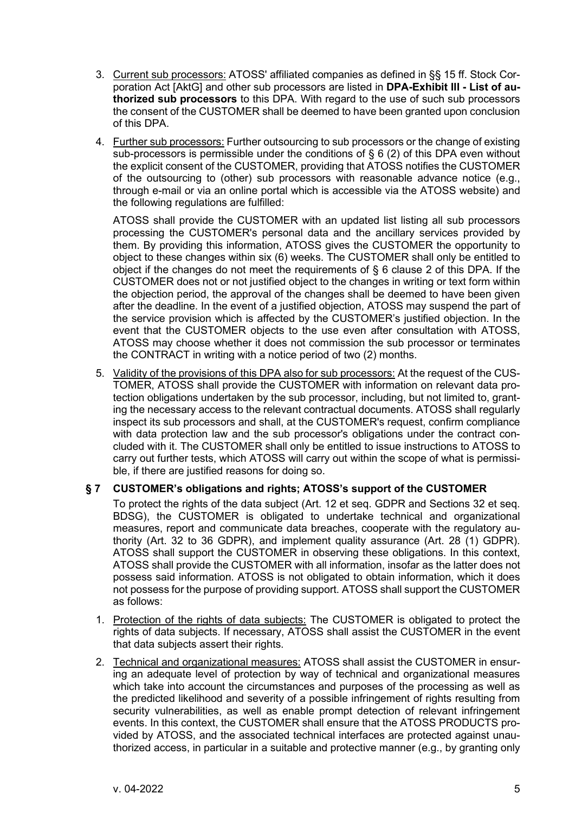- 3. Current sub processors: ATOSS' affiliated companies as defined in §§ 15 ff. Stock Corporation Act [AktG] and other sub processors are listed in **DPA-Exhibit III - List of authorized sub processors** to this DPA. With regard to the use of such sub processors the consent of the CUSTOMER shall be deemed to have been granted upon conclusion of this DPA.
- 4. Further sub processors: Further outsourcing to sub processors or the change of existing sub-processors is permissible under the conditions of § 6 (2) of this DPA even without the explicit consent of the CUSTOMER, providing that ATOSS notifies the CUSTOMER of the outsourcing to (other) sub processors with reasonable advance notice (e.g., through e-mail or via an online portal which is accessible via the ATOSS website) and the following regulations are fulfilled:

ATOSS shall provide the CUSTOMER with an updated list listing all sub processors processing the CUSTOMER's personal data and the ancillary services provided by them. By providing this information, ATOSS gives the CUSTOMER the opportunity to object to these changes within six (6) weeks. The CUSTOMER shall only be entitled to object if the changes do not meet the requirements of § 6 clause 2 of this DPA. If the CUSTOMER does not or not justified object to the changes in writing or text form within the objection period, the approval of the changes shall be deemed to have been given after the deadline. In the event of a justified objection, ATOSS may suspend the part of the service provision which is affected by the CUSTOMER's justified objection. In the event that the CUSTOMER objects to the use even after consultation with ATOSS, ATOSS may choose whether it does not commission the sub processor or terminates the CONTRACT in writing with a notice period of two (2) months.

5. Validity of the provisions of this DPA also for sub processors: At the request of the CUS-TOMER, ATOSS shall provide the CUSTOMER with information on relevant data protection obligations undertaken by the sub processor, including, but not limited to, granting the necessary access to the relevant contractual documents. ATOSS shall regularly inspect its sub processors and shall, at the CUSTOMER's request, confirm compliance with data protection law and the sub processor's obligations under the contract concluded with it. The CUSTOMER shall only be entitled to issue instructions to ATOSS to carry out further tests, which ATOSS will carry out within the scope of what is permissible, if there are justified reasons for doing so.

# <span id="page-4-0"></span>**§ 7 CUSTOMER's obligations and rights; ATOSS's support of the CUSTOMER**

To protect the rights of the data subject (Art. 12 et seq. GDPR and Sections 32 et seq. BDSG), the CUSTOMER is obligated to undertake technical and organizational measures, report and communicate data breaches, cooperate with the regulatory authority (Art. 32 to 36 GDPR), and implement quality assurance (Art. 28 (1) GDPR). ATOSS shall support the CUSTOMER in observing these obligations. In this context, ATOSS shall provide the CUSTOMER with all information, insofar as the latter does not possess said information. ATOSS is not obligated to obtain information, which it does not possess for the purpose of providing support. ATOSS shall support the CUSTOMER as follows:

- 1. Protection of the rights of data subjects: The CUSTOMER is obligated to protect the rights of data subjects. If necessary, ATOSS shall assist the CUSTOMER in the event that data subjects assert their rights.
- 2. Technical and organizational measures: ATOSS shall assist the CUSTOMER in ensuring an adequate level of protection by way of technical and organizational measures which take into account the circumstances and purposes of the processing as well as the predicted likelihood and severity of a possible infringement of rights resulting from security vulnerabilities, as well as enable prompt detection of relevant infringement events. In this context, the CUSTOMER shall ensure that the ATOSS PRODUCTS provided by ATOSS, and the associated technical interfaces are protected against unauthorized access, in particular in a suitable and protective manner (e.g., by granting only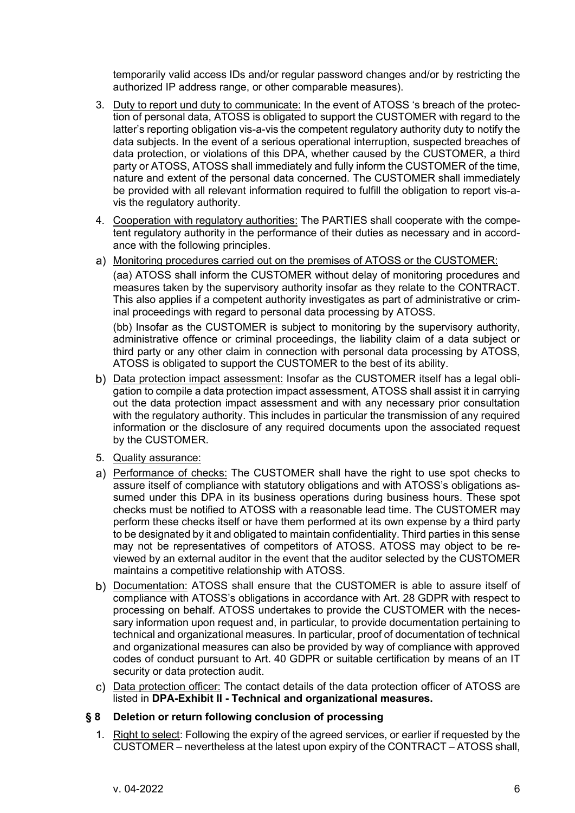temporarily valid access IDs and/or regular password changes and/or by restricting the authorized IP address range, or other comparable measures).

- 3. Duty to report und duty to communicate: In the event of ATOSS 's breach of the protection of personal data, ATOSS is obligated to support the CUSTOMER with regard to the latter's reporting obligation vis-a-vis the competent regulatory authority duty to notify the data subjects. In the event of a serious operational interruption, suspected breaches of data protection, or violations of this DPA, whether caused by the CUSTOMER, a third party or ATOSS, ATOSS shall immediately and fully inform the CUSTOMER of the time, nature and extent of the personal data concerned. The CUSTOMER shall immediately be provided with all relevant information required to fulfill the obligation to report vis-avis the regulatory authority.
- 4. Cooperation with regulatory authorities: The PARTIES shall cooperate with the competent regulatory authority in the performance of their duties as necessary and in accordance with the following principles.
- Monitoring procedures carried out on the premises of ATOSS or the CUSTOMER: (aa) ATOSS shall inform the CUSTOMER without delay of monitoring procedures and measures taken by the supervisory authority insofar as they relate to the CONTRACT. This also applies if a competent authority investigates as part of administrative or criminal proceedings with regard to personal data processing by ATOSS.

(bb) Insofar as the CUSTOMER is subject to monitoring by the supervisory authority, administrative offence or criminal proceedings, the liability claim of a data subject or third party or any other claim in connection with personal data processing by ATOSS, ATOSS is obligated to support the CUSTOMER to the best of its ability.

- b) Data protection impact assessment: Insofar as the CUSTOMER itself has a legal obligation to compile a data protection impact assessment, ATOSS shall assist it in carrying out the data protection impact assessment and with any necessary prior consultation with the regulatory authority. This includes in particular the transmission of any required information or the disclosure of any required documents upon the associated request by the CUSTOMER.
- 5. Quality assurance:
- a) Performance of checks: The CUSTOMER shall have the right to use spot checks to assure itself of compliance with statutory obligations and with ATOSS's obligations assumed under this DPA in its business operations during business hours. These spot checks must be notified to ATOSS with a reasonable lead time. The CUSTOMER may perform these checks itself or have them performed at its own expense by a third party to be designated by it and obligated to maintain confidentiality. Third parties in this sense may not be representatives of competitors of ATOSS. ATOSS may object to be reviewed by an external auditor in the event that the auditor selected by the CUSTOMER maintains a competitive relationship with ATOSS.
- b) Documentation: ATOSS shall ensure that the CUSTOMER is able to assure itself of compliance with ATOSS's obligations in accordance with Art. 28 GDPR with respect to processing on behalf. ATOSS undertakes to provide the CUSTOMER with the necessary information upon request and, in particular, to provide documentation pertaining to technical and organizational measures. In particular, proof of documentation of technical and organizational measures can also be provided by way of compliance with approved codes of conduct pursuant to Art. 40 GDPR or suitable certification by means of an IT security or data protection audit.
- c) Data protection officer: The contact details of the data protection officer of ATOSS are listed in **DPA-Exhibit II - Technical and organizational measures.**

# <span id="page-5-0"></span>**§ 8 Deletion or return following conclusion of processing**

1. Right to select: Following the expiry of the agreed services, or earlier if requested by the CUSTOMER – nevertheless at the latest upon expiry of the CONTRACT – ATOSS shall,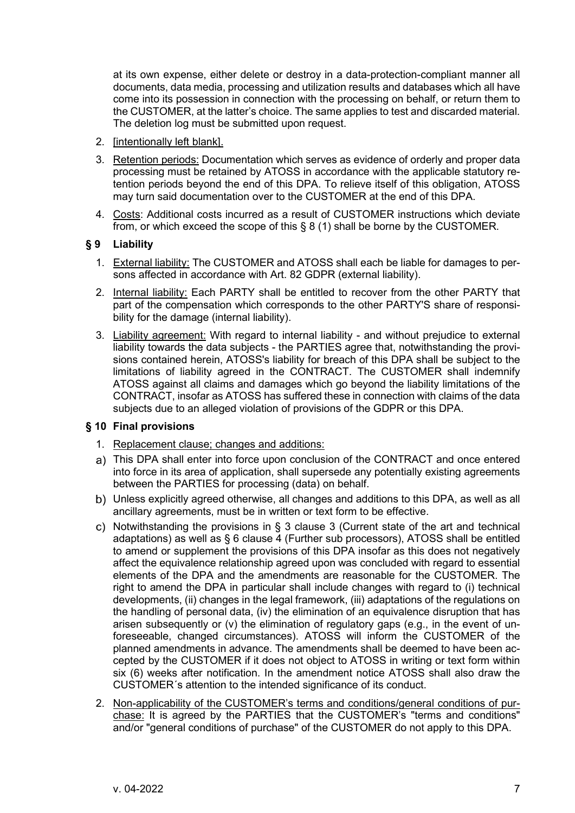at its own expense, either delete or destroy in a data-protection-compliant manner all documents, data media, processing and utilization results and databases which all have come into its possession in connection with the processing on behalf, or return them to the CUSTOMER, at the latter's choice. The same applies to test and discarded material. The deletion log must be submitted upon request.

- 2. [intentionally left blank].
- 3. Retention periods: Documentation which serves as evidence of orderly and proper data processing must be retained by ATOSS in accordance with the applicable statutory retention periods beyond the end of this DPA. To relieve itself of this obligation, ATOSS may turn said documentation over to the CUSTOMER at the end of this DPA.
- 4. Costs: Additional costs incurred as a result of CUSTOMER instructions which deviate from, or which exceed the scope of this § 8 (1) shall be borne by the CUSTOMER.

# <span id="page-6-0"></span>**§ 9 Liability**

- 1. External liability: The CUSTOMER and ATOSS shall each be liable for damages to persons affected in accordance with Art. 82 GDPR (external liability).
- 2. Internal liability: Each PARTY shall be entitled to recover from the other PARTY that part of the compensation which corresponds to the other PARTY'S share of responsibility for the damage (internal liability).
- 3. Liability agreement: With regard to internal liability and without prejudice to external liability towards the data subjects - the PARTIES agree that, notwithstanding the provisions contained herein, ATOSS's liability for breach of this DPA shall be subject to the limitations of liability agreed in the CONTRACT. The CUSTOMER shall indemnify ATOSS against all claims and damages which go beyond the liability limitations of the CONTRACT, insofar as ATOSS has suffered these in connection with claims of the data subjects due to an alleged violation of provisions of the GDPR or this DPA.

#### <span id="page-6-1"></span>**§ 10 Final provisions**

- 1. Replacement clause; changes and additions:
- This DPA shall enter into force upon conclusion of the CONTRACT and once entered into force in its area of application, shall supersede any potentially existing agreements between the PARTIES for processing (data) on behalf.
- Unless explicitly agreed otherwise, all changes and additions to this DPA, as well as all ancillary agreements, must be in written or text form to be effective.
- c) Notwithstanding the provisions in  $\S$  3 clause 3 (Current state of the art and technical adaptations) as well as § 6 clause 4 (Further sub processors), ATOSS shall be entitled to amend or supplement the provisions of this DPA insofar as this does not negatively affect the equivalence relationship agreed upon was concluded with regard to essential elements of the DPA and the amendments are reasonable for the CUSTOMER. The right to amend the DPA in particular shall include changes with regard to (i) technical developments, (ii) changes in the legal framework, (iii) adaptations of the regulations on the handling of personal data, (iv) the elimination of an equivalence disruption that has arisen subsequently or (v) the elimination of regulatory gaps (e.g., in the event of unforeseeable, changed circumstances). ATOSS will inform the CUSTOMER of the planned amendments in advance. The amendments shall be deemed to have been accepted by the CUSTOMER if it does not object to ATOSS in writing or text form within six (6) weeks after notification. In the amendment notice ATOSS shall also draw the CUSTOMER´s attention to the intended significance of its conduct.
- 2. Non-applicability of the CUSTOMER's terms and conditions/general conditions of purchase: It is agreed by the PARTIES that the CUSTOMER's "terms and conditions" and/or "general conditions of purchase" of the CUSTOMER do not apply to this DPA.